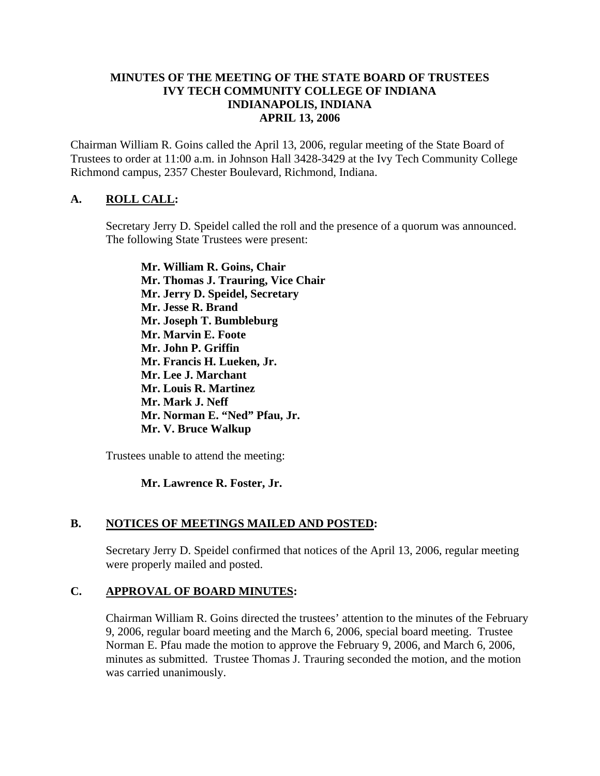#### **MINUTES OF THE MEETING OF THE STATE BOARD OF TRUSTEES IVY TECH COMMUNITY COLLEGE OF INDIANA INDIANAPOLIS, INDIANA APRIL 13, 2006**

Chairman William R. Goins called the April 13, 2006, regular meeting of the State Board of Trustees to order at 11:00 a.m. in Johnson Hall 3428-3429 at the Ivy Tech Community College Richmond campus, 2357 Chester Boulevard, Richmond, Indiana.

## **A. ROLL CALL:**

Secretary Jerry D. Speidel called the roll and the presence of a quorum was announced. The following State Trustees were present:

**Mr. William R. Goins, Chair Mr. Thomas J. Trauring, Vice Chair Mr. Jerry D. Speidel, Secretary Mr. Jesse R. Brand Mr. Joseph T. Bumbleburg Mr. Marvin E. Foote Mr. John P. Griffin Mr. Francis H. Lueken, Jr. Mr. Lee J. Marchant Mr. Louis R. Martinez Mr. Mark J. Neff Mr. Norman E. "Ned" Pfau, Jr. Mr. V. Bruce Walkup** 

Trustees unable to attend the meeting:

## **Mr. Lawrence R. Foster, Jr.**

## **B. NOTICES OF MEETINGS MAILED AND POSTED:**

Secretary Jerry D. Speidel confirmed that notices of the April 13, 2006, regular meeting were properly mailed and posted.

## **C. APPROVAL OF BOARD MINUTES:**

Chairman William R. Goins directed the trustees' attention to the minutes of the February 9, 2006, regular board meeting and the March 6, 2006, special board meeting. Trustee Norman E. Pfau made the motion to approve the February 9, 2006, and March 6, 2006, minutes as submitted. Trustee Thomas J. Trauring seconded the motion, and the motion was carried unanimously.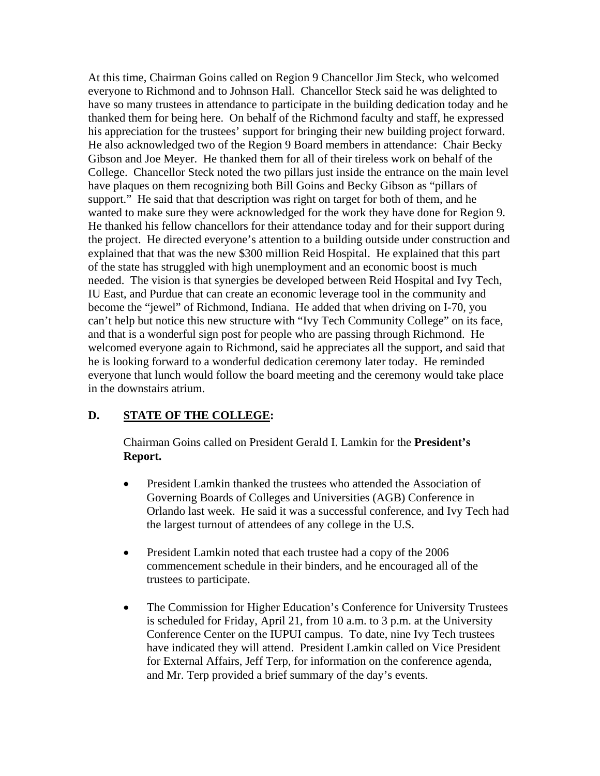At this time, Chairman Goins called on Region 9 Chancellor Jim Steck, who welcomed everyone to Richmond and to Johnson Hall. Chancellor Steck said he was delighted to have so many trustees in attendance to participate in the building dedication today and he thanked them for being here. On behalf of the Richmond faculty and staff, he expressed his appreciation for the trustees' support for bringing their new building project forward. He also acknowledged two of the Region 9 Board members in attendance: Chair Becky Gibson and Joe Meyer. He thanked them for all of their tireless work on behalf of the College. Chancellor Steck noted the two pillars just inside the entrance on the main level have plaques on them recognizing both Bill Goins and Becky Gibson as "pillars of support." He said that that description was right on target for both of them, and he wanted to make sure they were acknowledged for the work they have done for Region 9. He thanked his fellow chancellors for their attendance today and for their support during the project. He directed everyone's attention to a building outside under construction and explained that that was the new \$300 million Reid Hospital. He explained that this part of the state has struggled with high unemployment and an economic boost is much needed. The vision is that synergies be developed between Reid Hospital and Ivy Tech, IU East, and Purdue that can create an economic leverage tool in the community and become the "jewel" of Richmond, Indiana. He added that when driving on I-70, you can't help but notice this new structure with "Ivy Tech Community College" on its face, and that is a wonderful sign post for people who are passing through Richmond. He welcomed everyone again to Richmond, said he appreciates all the support, and said that he is looking forward to a wonderful dedication ceremony later today. He reminded everyone that lunch would follow the board meeting and the ceremony would take place in the downstairs atrium.

## **D. STATE OF THE COLLEGE:**

Chairman Goins called on President Gerald I. Lamkin for the **President's Report.**

- President Lamkin thanked the trustees who attended the Association of Governing Boards of Colleges and Universities (AGB) Conference in Orlando last week. He said it was a successful conference, and Ivy Tech had the largest turnout of attendees of any college in the U.S.
- President Lamkin noted that each trustee had a copy of the 2006 commencement schedule in their binders, and he encouraged all of the trustees to participate.
- The Commission for Higher Education's Conference for University Trustees is scheduled for Friday, April 21, from 10 a.m. to 3 p.m. at the University Conference Center on the IUPUI campus. To date, nine Ivy Tech trustees have indicated they will attend. President Lamkin called on Vice President for External Affairs, Jeff Terp, for information on the conference agenda, and Mr. Terp provided a brief summary of the day's events.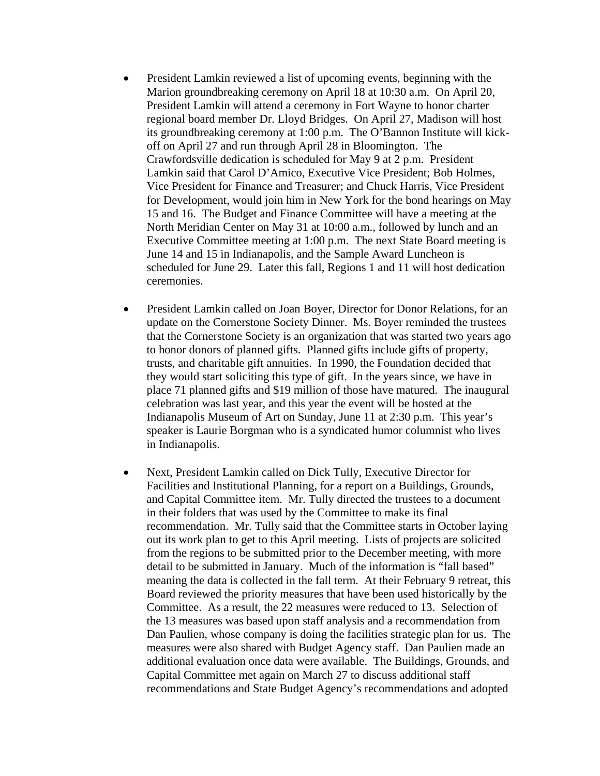- President Lamkin reviewed a list of upcoming events, beginning with the Marion groundbreaking ceremony on April 18 at 10:30 a.m. On April 20, President Lamkin will attend a ceremony in Fort Wayne to honor charter regional board member Dr. Lloyd Bridges. On April 27, Madison will host its groundbreaking ceremony at 1:00 p.m. The O'Bannon Institute will kickoff on April 27 and run through April 28 in Bloomington. The Crawfordsville dedication is scheduled for May 9 at 2 p.m. President Lamkin said that Carol D'Amico, Executive Vice President; Bob Holmes, Vice President for Finance and Treasurer; and Chuck Harris, Vice President for Development, would join him in New York for the bond hearings on May 15 and 16. The Budget and Finance Committee will have a meeting at the North Meridian Center on May 31 at 10:00 a.m., followed by lunch and an Executive Committee meeting at 1:00 p.m. The next State Board meeting is June 14 and 15 in Indianapolis, and the Sample Award Luncheon is scheduled for June 29. Later this fall, Regions 1 and 11 will host dedication ceremonies.
- President Lamkin called on Joan Boyer, Director for Donor Relations, for an update on the Cornerstone Society Dinner. Ms. Boyer reminded the trustees that the Cornerstone Society is an organization that was started two years ago to honor donors of planned gifts. Planned gifts include gifts of property, trusts, and charitable gift annuities. In 1990, the Foundation decided that they would start soliciting this type of gift. In the years since, we have in place 71 planned gifts and \$19 million of those have matured. The inaugural celebration was last year, and this year the event will be hosted at the Indianapolis Museum of Art on Sunday, June 11 at 2:30 p.m. This year's speaker is Laurie Borgman who is a syndicated humor columnist who lives in Indianapolis.
- Next, President Lamkin called on Dick Tully, Executive Director for Facilities and Institutional Planning, for a report on a Buildings, Grounds, and Capital Committee item. Mr. Tully directed the trustees to a document in their folders that was used by the Committee to make its final recommendation. Mr. Tully said that the Committee starts in October laying out its work plan to get to this April meeting. Lists of projects are solicited from the regions to be submitted prior to the December meeting, with more detail to be submitted in January. Much of the information is "fall based" meaning the data is collected in the fall term. At their February 9 retreat, this Board reviewed the priority measures that have been used historically by the Committee. As a result, the 22 measures were reduced to 13. Selection of the 13 measures was based upon staff analysis and a recommendation from Dan Paulien, whose company is doing the facilities strategic plan for us. The measures were also shared with Budget Agency staff. Dan Paulien made an additional evaluation once data were available. The Buildings, Grounds, and Capital Committee met again on March 27 to discuss additional staff recommendations and State Budget Agency's recommendations and adopted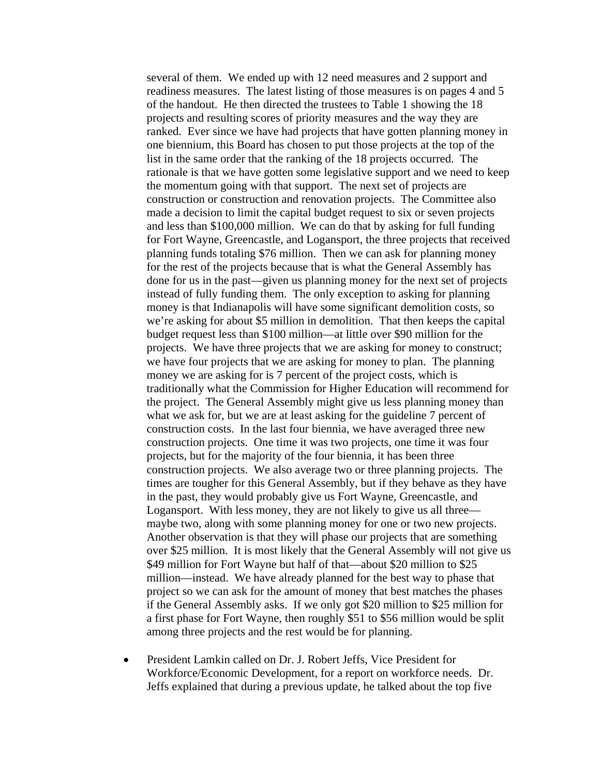several of them. We ended up with 12 need measures and 2 support and readiness measures. The latest listing of those measures is on pages 4 and 5 of the handout. He then directed the trustees to Table 1 showing the 18 projects and resulting scores of priority measures and the way they are ranked. Ever since we have had projects that have gotten planning money in one biennium, this Board has chosen to put those projects at the top of the list in the same order that the ranking of the 18 projects occurred. The rationale is that we have gotten some legislative support and we need to keep the momentum going with that support. The next set of projects are construction or construction and renovation projects. The Committee also made a decision to limit the capital budget request to six or seven projects and less than \$100,000 million. We can do that by asking for full funding for Fort Wayne, Greencastle, and Logansport, the three projects that received planning funds totaling \$76 million. Then we can ask for planning money for the rest of the projects because that is what the General Assembly has done for us in the past—given us planning money for the next set of projects instead of fully funding them. The only exception to asking for planning money is that Indianapolis will have some significant demolition costs, so we're asking for about \$5 million in demolition. That then keeps the capital budget request less than \$100 million—at little over \$90 million for the projects. We have three projects that we are asking for money to construct; we have four projects that we are asking for money to plan. The planning money we are asking for is 7 percent of the project costs, which is traditionally what the Commission for Higher Education will recommend for the project. The General Assembly might give us less planning money than what we ask for, but we are at least asking for the guideline 7 percent of construction costs. In the last four biennia, we have averaged three new construction projects. One time it was two projects, one time it was four projects, but for the majority of the four biennia, it has been three construction projects. We also average two or three planning projects. The times are tougher for this General Assembly, but if they behave as they have in the past, they would probably give us Fort Wayne, Greencastle, and Logansport. With less money, they are not likely to give us all three maybe two, along with some planning money for one or two new projects. Another observation is that they will phase our projects that are something over \$25 million. It is most likely that the General Assembly will not give us \$49 million for Fort Wayne but half of that—about \$20 million to \$25 million—instead. We have already planned for the best way to phase that project so we can ask for the amount of money that best matches the phases if the General Assembly asks. If we only got \$20 million to \$25 million for a first phase for Fort Wayne, then roughly \$51 to \$56 million would be split among three projects and the rest would be for planning.

• President Lamkin called on Dr. J. Robert Jeffs, Vice President for Workforce/Economic Development, for a report on workforce needs. Dr. Jeffs explained that during a previous update, he talked about the top five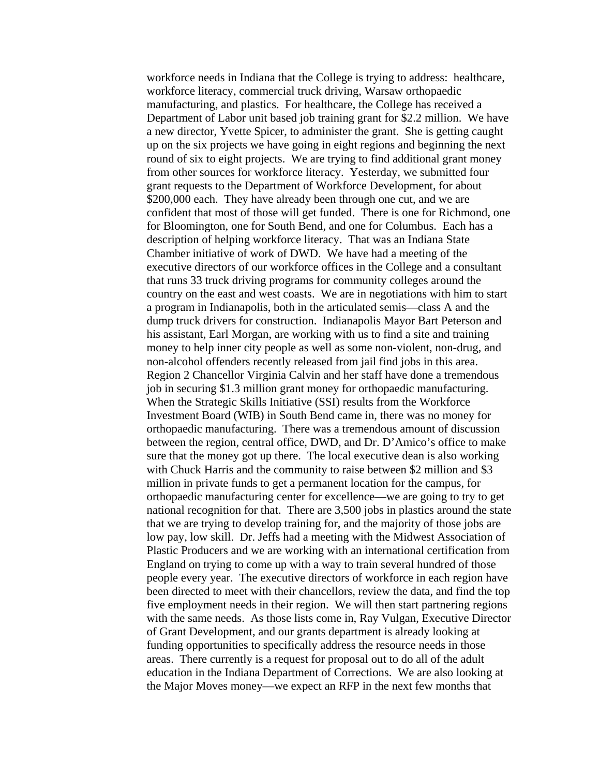workforce needs in Indiana that the College is trying to address: healthcare, workforce literacy, commercial truck driving, Warsaw orthopaedic manufacturing, and plastics. For healthcare, the College has received a Department of Labor unit based job training grant for \$2.2 million. We have a new director, Yvette Spicer, to administer the grant. She is getting caught up on the six projects we have going in eight regions and beginning the next round of six to eight projects. We are trying to find additional grant money from other sources for workforce literacy. Yesterday, we submitted four grant requests to the Department of Workforce Development, for about \$200,000 each. They have already been through one cut, and we are confident that most of those will get funded. There is one for Richmond, one for Bloomington, one for South Bend, and one for Columbus. Each has a description of helping workforce literacy. That was an Indiana State Chamber initiative of work of DWD. We have had a meeting of the executive directors of our workforce offices in the College and a consultant that runs 33 truck driving programs for community colleges around the country on the east and west coasts. We are in negotiations with him to start a program in Indianapolis, both in the articulated semis—class A and the dump truck drivers for construction. Indianapolis Mayor Bart Peterson and his assistant, Earl Morgan, are working with us to find a site and training money to help inner city people as well as some non-violent, non-drug, and non-alcohol offenders recently released from jail find jobs in this area. Region 2 Chancellor Virginia Calvin and her staff have done a tremendous job in securing \$1.3 million grant money for orthopaedic manufacturing. When the Strategic Skills Initiative (SSI) results from the Workforce Investment Board (WIB) in South Bend came in, there was no money for orthopaedic manufacturing. There was a tremendous amount of discussion between the region, central office, DWD, and Dr. D'Amico's office to make sure that the money got up there. The local executive dean is also working with Chuck Harris and the community to raise between \$2 million and \$3 million in private funds to get a permanent location for the campus, for orthopaedic manufacturing center for excellence—we are going to try to get national recognition for that. There are 3,500 jobs in plastics around the state that we are trying to develop training for, and the majority of those jobs are low pay, low skill. Dr. Jeffs had a meeting with the Midwest Association of Plastic Producers and we are working with an international certification from England on trying to come up with a way to train several hundred of those people every year. The executive directors of workforce in each region have been directed to meet with their chancellors, review the data, and find the top five employment needs in their region. We will then start partnering regions with the same needs. As those lists come in, Ray Vulgan, Executive Director of Grant Development, and our grants department is already looking at funding opportunities to specifically address the resource needs in those areas. There currently is a request for proposal out to do all of the adult education in the Indiana Department of Corrections. We are also looking at the Major Moves money—we expect an RFP in the next few months that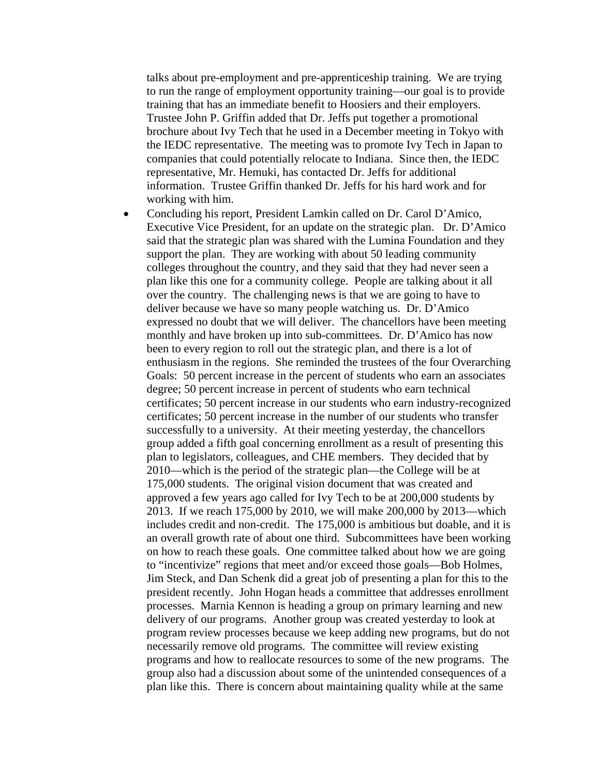talks about pre-employment and pre-apprenticeship training. We are trying to run the range of employment opportunity training—our goal is to provide training that has an immediate benefit to Hoosiers and their employers. Trustee John P. Griffin added that Dr. Jeffs put together a promotional brochure about Ivy Tech that he used in a December meeting in Tokyo with the IEDC representative. The meeting was to promote Ivy Tech in Japan to companies that could potentially relocate to Indiana. Since then, the IEDC representative, Mr. Hemuki, has contacted Dr. Jeffs for additional information. Trustee Griffin thanked Dr. Jeffs for his hard work and for working with him.

• Concluding his report, President Lamkin called on Dr. Carol D'Amico, Executive Vice President, for an update on the strategic plan. Dr. D'Amico said that the strategic plan was shared with the Lumina Foundation and they support the plan. They are working with about 50 leading community colleges throughout the country, and they said that they had never seen a plan like this one for a community college. People are talking about it all over the country. The challenging news is that we are going to have to deliver because we have so many people watching us. Dr. D'Amico expressed no doubt that we will deliver. The chancellors have been meeting monthly and have broken up into sub-committees. Dr. D'Amico has now been to every region to roll out the strategic plan, and there is a lot of enthusiasm in the regions. She reminded the trustees of the four Overarching Goals: 50 percent increase in the percent of students who earn an associates degree; 50 percent increase in percent of students who earn technical certificates; 50 percent increase in our students who earn industry-recognized certificates; 50 percent increase in the number of our students who transfer successfully to a university. At their meeting yesterday, the chancellors group added a fifth goal concerning enrollment as a result of presenting this plan to legislators, colleagues, and CHE members. They decided that by 2010—which is the period of the strategic plan—the College will be at 175,000 students. The original vision document that was created and approved a few years ago called for Ivy Tech to be at 200,000 students by 2013. If we reach 175,000 by 2010, we will make 200,000 by 2013—which includes credit and non-credit. The 175,000 is ambitious but doable, and it is an overall growth rate of about one third. Subcommittees have been working on how to reach these goals. One committee talked about how we are going to "incentivize" regions that meet and/or exceed those goals—Bob Holmes, Jim Steck, and Dan Schenk did a great job of presenting a plan for this to the president recently. John Hogan heads a committee that addresses enrollment processes. Marnia Kennon is heading a group on primary learning and new delivery of our programs. Another group was created yesterday to look at program review processes because we keep adding new programs, but do not necessarily remove old programs. The committee will review existing programs and how to reallocate resources to some of the new programs. The group also had a discussion about some of the unintended consequences of a plan like this. There is concern about maintaining quality while at the same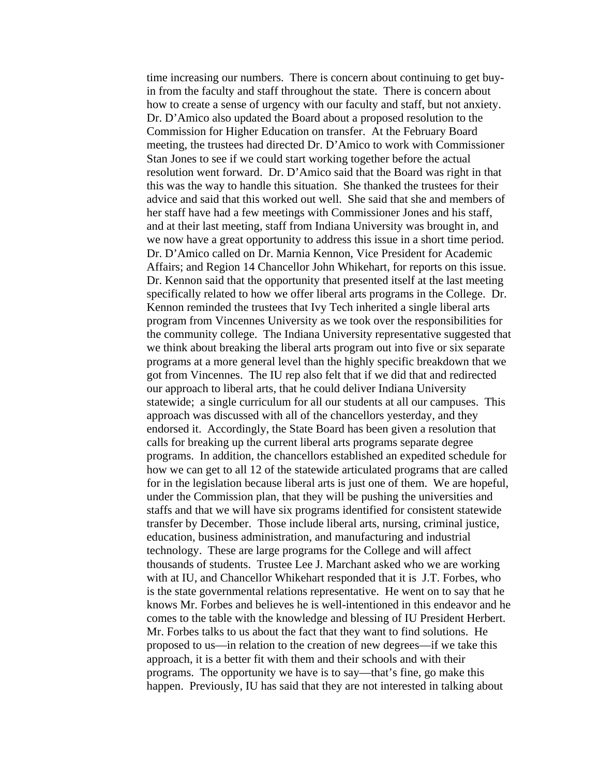time increasing our numbers. There is concern about continuing to get buyin from the faculty and staff throughout the state. There is concern about how to create a sense of urgency with our faculty and staff, but not anxiety. Dr. D'Amico also updated the Board about a proposed resolution to the Commission for Higher Education on transfer. At the February Board meeting, the trustees had directed Dr. D'Amico to work with Commissioner Stan Jones to see if we could start working together before the actual resolution went forward. Dr. D'Amico said that the Board was right in that this was the way to handle this situation. She thanked the trustees for their advice and said that this worked out well. She said that she and members of her staff have had a few meetings with Commissioner Jones and his staff, and at their last meeting, staff from Indiana University was brought in, and we now have a great opportunity to address this issue in a short time period. Dr. D'Amico called on Dr. Marnia Kennon, Vice President for Academic Affairs; and Region 14 Chancellor John Whikehart, for reports on this issue. Dr. Kennon said that the opportunity that presented itself at the last meeting specifically related to how we offer liberal arts programs in the College. Dr. Kennon reminded the trustees that Ivy Tech inherited a single liberal arts program from Vincennes University as we took over the responsibilities for the community college. The Indiana University representative suggested that we think about breaking the liberal arts program out into five or six separate programs at a more general level than the highly specific breakdown that we got from Vincennes. The IU rep also felt that if we did that and redirected our approach to liberal arts, that he could deliver Indiana University statewide; a single curriculum for all our students at all our campuses. This approach was discussed with all of the chancellors yesterday, and they endorsed it. Accordingly, the State Board has been given a resolution that calls for breaking up the current liberal arts programs separate degree programs. In addition, the chancellors established an expedited schedule for how we can get to all 12 of the statewide articulated programs that are called for in the legislation because liberal arts is just one of them. We are hopeful, under the Commission plan, that they will be pushing the universities and staffs and that we will have six programs identified for consistent statewide transfer by December. Those include liberal arts, nursing, criminal justice, education, business administration, and manufacturing and industrial technology. These are large programs for the College and will affect thousands of students. Trustee Lee J. Marchant asked who we are working with at IU, and Chancellor Whikehart responded that it is J.T. Forbes, who is the state governmental relations representative. He went on to say that he knows Mr. Forbes and believes he is well-intentioned in this endeavor and he comes to the table with the knowledge and blessing of IU President Herbert. Mr. Forbes talks to us about the fact that they want to find solutions. He proposed to us—in relation to the creation of new degrees—if we take this approach, it is a better fit with them and their schools and with their programs. The opportunity we have is to say—that's fine, go make this happen. Previously, IU has said that they are not interested in talking about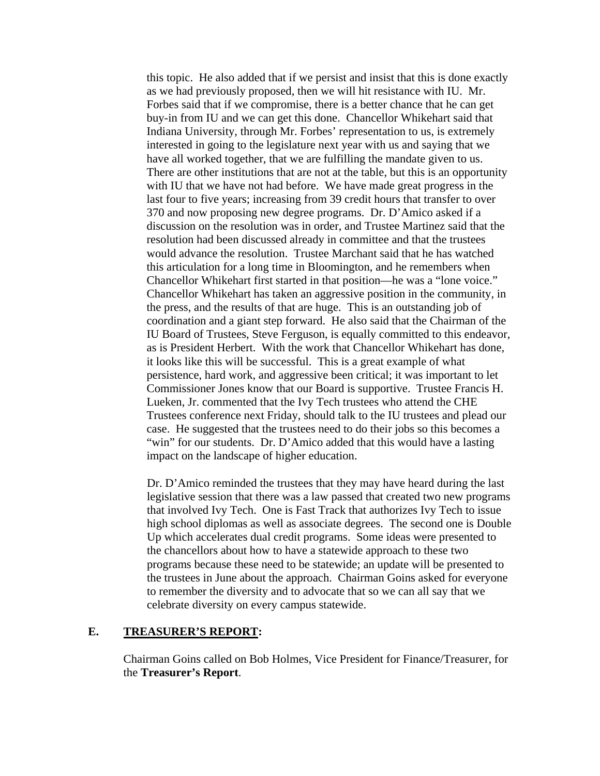this topic. He also added that if we persist and insist that this is done exactly as we had previously proposed, then we will hit resistance with IU. Mr. Forbes said that if we compromise, there is a better chance that he can get buy-in from IU and we can get this done. Chancellor Whikehart said that Indiana University, through Mr. Forbes' representation to us, is extremely interested in going to the legislature next year with us and saying that we have all worked together, that we are fulfilling the mandate given to us. There are other institutions that are not at the table, but this is an opportunity with IU that we have not had before. We have made great progress in the last four to five years; increasing from 39 credit hours that transfer to over 370 and now proposing new degree programs. Dr. D'Amico asked if a discussion on the resolution was in order, and Trustee Martinez said that the resolution had been discussed already in committee and that the trustees would advance the resolution. Trustee Marchant said that he has watched this articulation for a long time in Bloomington, and he remembers when Chancellor Whikehart first started in that position—he was a "lone voice." Chancellor Whikehart has taken an aggressive position in the community, in the press, and the results of that are huge. This is an outstanding job of coordination and a giant step forward. He also said that the Chairman of the IU Board of Trustees, Steve Ferguson, is equally committed to this endeavor, as is President Herbert. With the work that Chancellor Whikehart has done, it looks like this will be successful. This is a great example of what persistence, hard work, and aggressive been critical; it was important to let Commissioner Jones know that our Board is supportive. Trustee Francis H. Lueken, Jr. commented that the Ivy Tech trustees who attend the CHE Trustees conference next Friday, should talk to the IU trustees and plead our case. He suggested that the trustees need to do their jobs so this becomes a "win" for our students. Dr. D'Amico added that this would have a lasting impact on the landscape of higher education.

Dr. D'Amico reminded the trustees that they may have heard during the last legislative session that there was a law passed that created two new programs that involved Ivy Tech. One is Fast Track that authorizes Ivy Tech to issue high school diplomas as well as associate degrees. The second one is Double Up which accelerates dual credit programs. Some ideas were presented to the chancellors about how to have a statewide approach to these two programs because these need to be statewide; an update will be presented to the trustees in June about the approach. Chairman Goins asked for everyone to remember the diversity and to advocate that so we can all say that we celebrate diversity on every campus statewide.

#### **E. TREASURER'S REPORT:**

Chairman Goins called on Bob Holmes, Vice President for Finance/Treasurer, for the **Treasurer's Report**.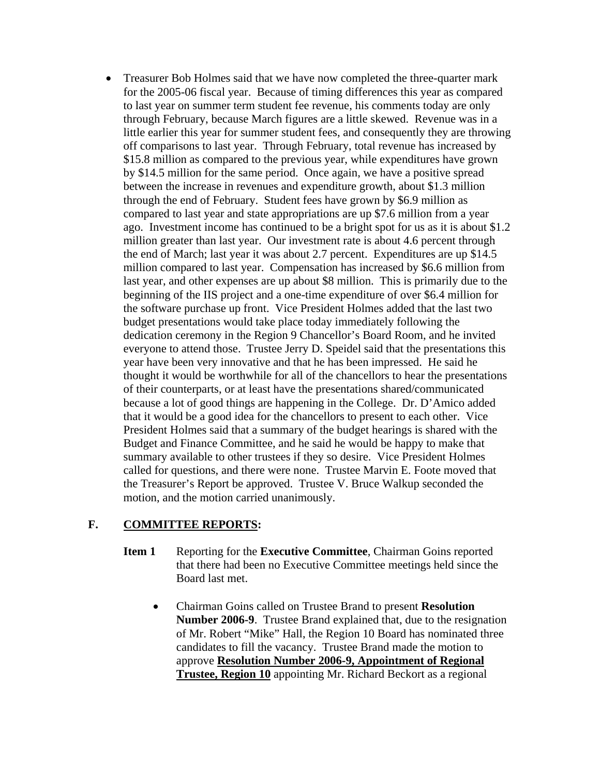• Treasurer Bob Holmes said that we have now completed the three-quarter mark for the 2005-06 fiscal year. Because of timing differences this year as compared to last year on summer term student fee revenue, his comments today are only through February, because March figures are a little skewed. Revenue was in a little earlier this year for summer student fees, and consequently they are throwing off comparisons to last year. Through February, total revenue has increased by \$15.8 million as compared to the previous year, while expenditures have grown by \$14.5 million for the same period. Once again, we have a positive spread between the increase in revenues and expenditure growth, about \$1.3 million through the end of February. Student fees have grown by \$6.9 million as compared to last year and state appropriations are up \$7.6 million from a year ago. Investment income has continued to be a bright spot for us as it is about \$1.2 million greater than last year. Our investment rate is about 4.6 percent through the end of March; last year it was about 2.7 percent. Expenditures are up \$14.5 million compared to last year. Compensation has increased by \$6.6 million from last year, and other expenses are up about \$8 million. This is primarily due to the beginning of the IIS project and a one-time expenditure of over \$6.4 million for the software purchase up front. Vice President Holmes added that the last two budget presentations would take place today immediately following the dedication ceremony in the Region 9 Chancellor's Board Room, and he invited everyone to attend those. Trustee Jerry D. Speidel said that the presentations this year have been very innovative and that he has been impressed. He said he thought it would be worthwhile for all of the chancellors to hear the presentations of their counterparts, or at least have the presentations shared/communicated because a lot of good things are happening in the College. Dr. D'Amico added that it would be a good idea for the chancellors to present to each other. Vice President Holmes said that a summary of the budget hearings is shared with the Budget and Finance Committee, and he said he would be happy to make that summary available to other trustees if they so desire. Vice President Holmes called for questions, and there were none. Trustee Marvin E. Foote moved that the Treasurer's Report be approved. Trustee V. Bruce Walkup seconded the motion, and the motion carried unanimously.

## **F. COMMITTEE REPORTS:**

- **Item 1** Reporting for the **Executive Committee**, Chairman Goins reported that there had been no Executive Committee meetings held since the Board last met.
	- Chairman Goins called on Trustee Brand to present **Resolution Number 2006-9**. Trustee Brand explained that, due to the resignation of Mr. Robert "Mike" Hall, the Region 10 Board has nominated three candidates to fill the vacancy. Trustee Brand made the motion to approve **Resolution Number 2006-9, Appointment of Regional Trustee, Region 10** appointing Mr. Richard Beckort as a regional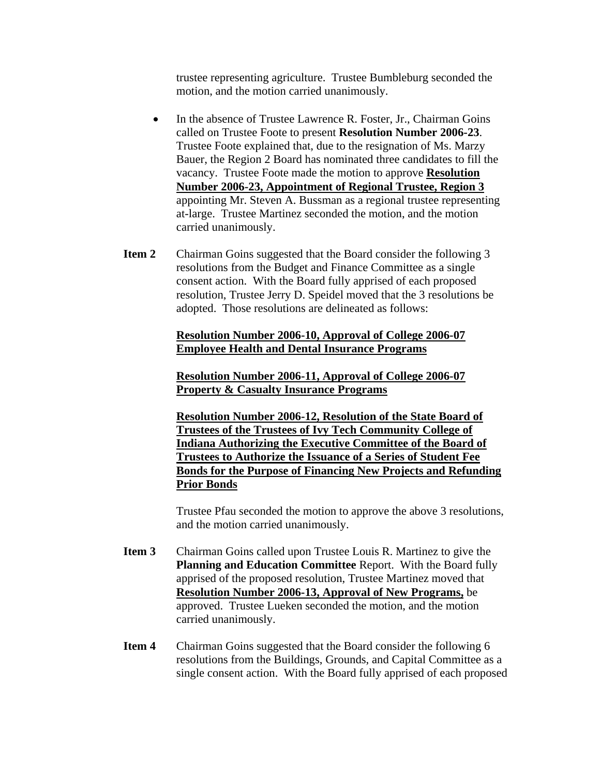trustee representing agriculture. Trustee Bumbleburg seconded the motion, and the motion carried unanimously.

- In the absence of Trustee Lawrence R. Foster, Jr., Chairman Goins called on Trustee Foote to present **Resolution Number 2006-23**. Trustee Foote explained that, due to the resignation of Ms. Marzy Bauer, the Region 2 Board has nominated three candidates to fill the vacancy. Trustee Foote made the motion to approve **Resolution Number 2006-23, Appointment of Regional Trustee, Region 3** appointing Mr. Steven A. Bussman as a regional trustee representing at-large. Trustee Martinez seconded the motion, and the motion carried unanimously.
- **Item 2** Chairman Goins suggested that the Board consider the following 3 resolutions from the Budget and Finance Committee as a single consent action. With the Board fully apprised of each proposed resolution, Trustee Jerry D. Speidel moved that the 3 resolutions be adopted. Those resolutions are delineated as follows:

#### **Resolution Number 2006-10, Approval of College 2006-07 Employee Health and Dental Insurance Programs**

**Resolution Number 2006-11, Approval of College 2006-07 Property & Casualty Insurance Programs**

**Resolution Number 2006-12, Resolution of the State Board of Trustees of the Trustees of Ivy Tech Community College of Indiana Authorizing the Executive Committee of the Board of Trustees to Authorize the Issuance of a Series of Student Fee Bonds for the Purpose of Financing New Projects and Refunding Prior Bonds**

Trustee Pfau seconded the motion to approve the above 3 resolutions, and the motion carried unanimously.

- **Item 3** Chairman Goins called upon Trustee Louis R. Martinez to give the **Planning and Education Committee** Report. With the Board fully apprised of the proposed resolution, Trustee Martinez moved that **Resolution Number 2006-13, Approval of New Programs,** be approved. Trustee Lueken seconded the motion, and the motion carried unanimously.
- **Item 4** Chairman Goins suggested that the Board consider the following 6 resolutions from the Buildings, Grounds, and Capital Committee as a single consent action. With the Board fully apprised of each proposed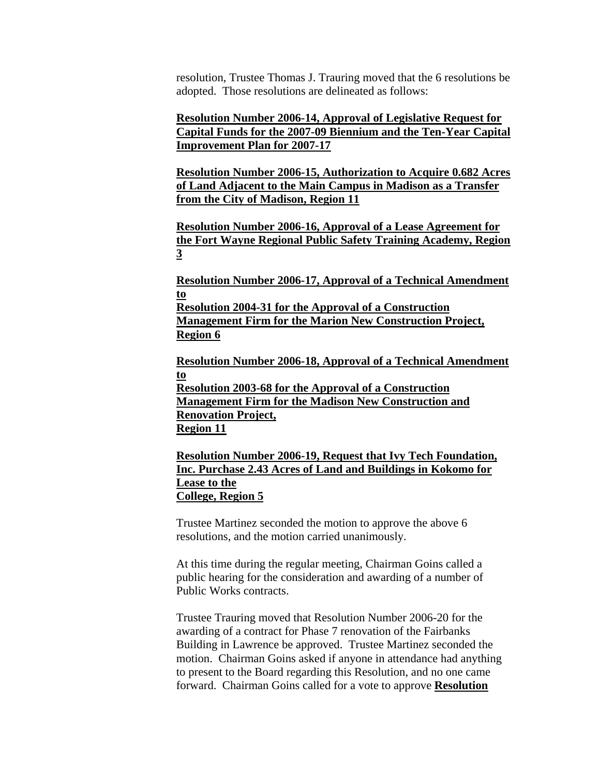resolution, Trustee Thomas J. Trauring moved that the 6 resolutions be adopted. Those resolutions are delineated as follows:

**Resolution Number 2006-14, Approval of Legislative Request for Capital Funds for the 2007-09 Biennium and the Ten-Year Capital Improvement Plan for 2007-17**

**Resolution Number 2006-15, Authorization to Acquire 0.682 Acres of Land Adjacent to the Main Campus in Madison as a Transfer from the City of Madison, Region 11**

**Resolution Number 2006-16, Approval of a Lease Agreement for the Fort Wayne Regional Public Safety Training Academy, Region 3**

**Resolution Number 2006-17, Approval of a Technical Amendment to**

**Resolution 2004-31 for the Approval of a Construction Management Firm for the Marion New Construction Project, Region 6**

**Resolution Number 2006-18, Approval of a Technical Amendment to Resolution 2003-68 for the Approval of a Construction Management Firm for the Madison New Construction and Renovation Project, Region 11**

**Resolution Number 2006-19, Request that Ivy Tech Foundation, Inc. Purchase 2.43 Acres of Land and Buildings in Kokomo for Lease to the College, Region 5**

Trustee Martinez seconded the motion to approve the above 6 resolutions, and the motion carried unanimously.

At this time during the regular meeting, Chairman Goins called a public hearing for the consideration and awarding of a number of Public Works contracts.

Trustee Trauring moved that Resolution Number 2006-20 for the awarding of a contract for Phase 7 renovation of the Fairbanks Building in Lawrence be approved. Trustee Martinez seconded the motion. Chairman Goins asked if anyone in attendance had anything to present to the Board regarding this Resolution, and no one came forward. Chairman Goins called for a vote to approve **Resolution**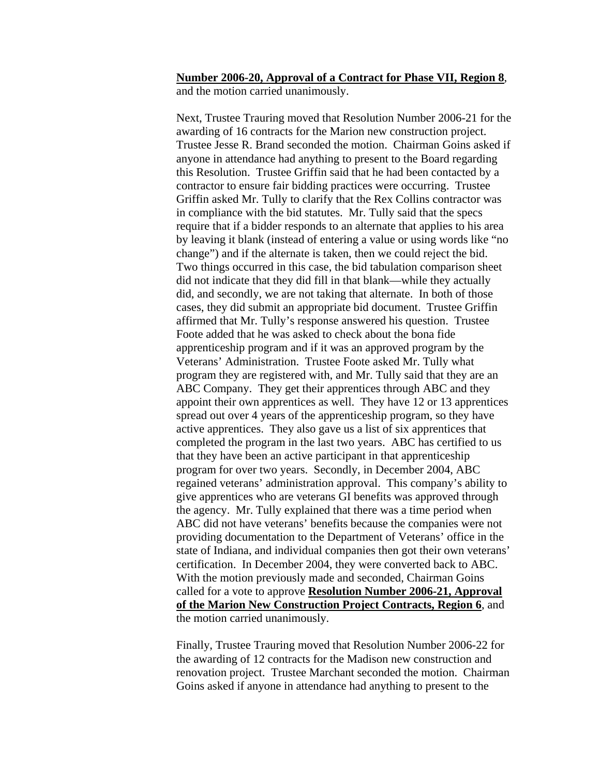#### **Number 2006-20, Approval of a Contract for Phase VII, Region 8**, and the motion carried unanimously.

Next, Trustee Trauring moved that Resolution Number 2006-21 for the awarding of 16 contracts for the Marion new construction project. Trustee Jesse R. Brand seconded the motion. Chairman Goins asked if anyone in attendance had anything to present to the Board regarding this Resolution. Trustee Griffin said that he had been contacted by a contractor to ensure fair bidding practices were occurring. Trustee Griffin asked Mr. Tully to clarify that the Rex Collins contractor was in compliance with the bid statutes. Mr. Tully said that the specs require that if a bidder responds to an alternate that applies to his area by leaving it blank (instead of entering a value or using words like "no change") and if the alternate is taken, then we could reject the bid. Two things occurred in this case, the bid tabulation comparison sheet did not indicate that they did fill in that blank—while they actually did, and secondly, we are not taking that alternate. In both of those cases, they did submit an appropriate bid document. Trustee Griffin affirmed that Mr. Tully's response answered his question. Trustee Foote added that he was asked to check about the bona fide apprenticeship program and if it was an approved program by the Veterans' Administration. Trustee Foote asked Mr. Tully what program they are registered with, and Mr. Tully said that they are an ABC Company. They get their apprentices through ABC and they appoint their own apprentices as well. They have 12 or 13 apprentices spread out over 4 years of the apprenticeship program, so they have active apprentices. They also gave us a list of six apprentices that completed the program in the last two years. ABC has certified to us that they have been an active participant in that apprenticeship program for over two years. Secondly, in December 2004, ABC regained veterans' administration approval. This company's ability to give apprentices who are veterans GI benefits was approved through the agency. Mr. Tully explained that there was a time period when ABC did not have veterans' benefits because the companies were not providing documentation to the Department of Veterans' office in the state of Indiana, and individual companies then got their own veterans' certification. In December 2004, they were converted back to ABC. With the motion previously made and seconded, Chairman Goins called for a vote to approve **Resolution Number 2006-21, Approval of the Marion New Construction Project Contracts, Region 6**, and the motion carried unanimously.

Finally, Trustee Trauring moved that Resolution Number 2006-22 for the awarding of 12 contracts for the Madison new construction and renovation project. Trustee Marchant seconded the motion. Chairman Goins asked if anyone in attendance had anything to present to the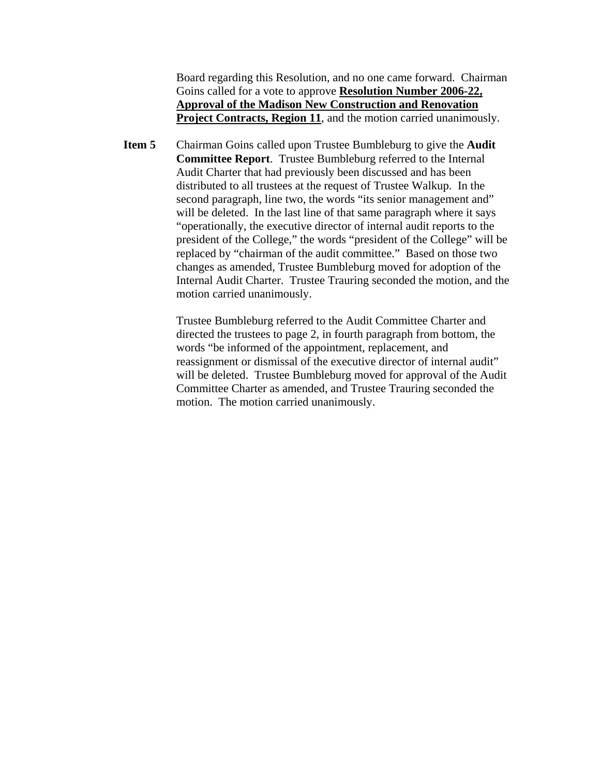Board regarding this Resolution, and no one came forward. Chairman Goins called for a vote to approve **Resolution Number 2006-22, Approval of the Madison New Construction and Renovation Project Contracts, Region 11**, and the motion carried unanimously.

**Item 5** Chairman Goins called upon Trustee Bumbleburg to give the **Audit Committee Report**. Trustee Bumbleburg referred to the Internal Audit Charter that had previously been discussed and has been distributed to all trustees at the request of Trustee Walkup. In the second paragraph, line two, the words "its senior management and" will be deleted. In the last line of that same paragraph where it says "operationally, the executive director of internal audit reports to the president of the College," the words "president of the College" will be replaced by "chairman of the audit committee." Based on those two changes as amended, Trustee Bumbleburg moved for adoption of the Internal Audit Charter. Trustee Trauring seconded the motion, and the motion carried unanimously.

> Trustee Bumbleburg referred to the Audit Committee Charter and directed the trustees to page 2, in fourth paragraph from bottom, the words "be informed of the appointment, replacement, and reassignment or dismissal of the executive director of internal audit" will be deleted. Trustee Bumbleburg moved for approval of the Audit Committee Charter as amended, and Trustee Trauring seconded the motion. The motion carried unanimously.